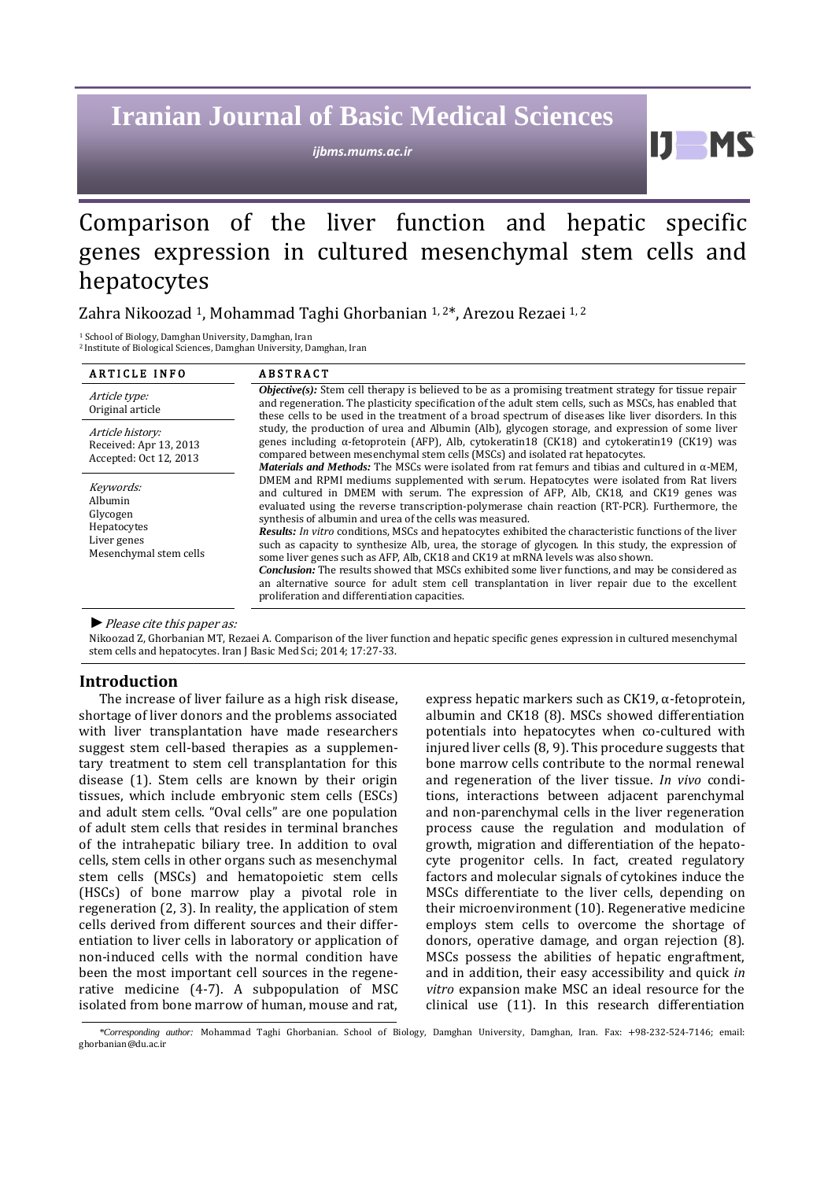# **Iranian Journal of Basic Medical Sciences**

*ijbms.mums.ac.ir*

H

# Comparison of the liver function and hepatic specific genes expression in cultured mesenchymal stem cells and hepatocytes

# Zahra Nikoozad 1, Mohammad Taghi Ghorbanian 1, 2\*, Arezou Rezaei 1, 2

<sup>1</sup> School of Biology, Damghan University, Damghan, Iran <sup>2</sup> Institute of Biological Sciences, Damghan University, Damghan, Iran

| <b>ARTICLE INFO</b>                                                                      | <b>ABSTRACT</b>                                                                                                                                                                                                                                                                                                                                                                                                                                                                                                                                                                                                                                                                                                                                                                                                                                                                                                    |  |
|------------------------------------------------------------------------------------------|--------------------------------------------------------------------------------------------------------------------------------------------------------------------------------------------------------------------------------------------------------------------------------------------------------------------------------------------------------------------------------------------------------------------------------------------------------------------------------------------------------------------------------------------------------------------------------------------------------------------------------------------------------------------------------------------------------------------------------------------------------------------------------------------------------------------------------------------------------------------------------------------------------------------|--|
| Article type:<br>Original article                                                        | $Objective(s)$ : Stem cell therapy is believed to be as a promising treatment strategy for tissue repair<br>and regeneration. The plasticity specification of the adult stem cells, such as MSCs, has enabled that<br>these cells to be used in the treatment of a broad spectrum of diseases like liver disorders. In this                                                                                                                                                                                                                                                                                                                                                                                                                                                                                                                                                                                        |  |
| Article history:<br>Received: Apr 13, 2013<br>Accepted: Oct 12, 2013                     | study, the production of urea and Albumin (Alb), glycogen storage, and expression of some liver<br>genes including $\alpha$ -fetoprotein (AFP), Alb, cytokeratin18 (CK18) and cytokeratin19 (CK19) was<br>compared between mesenchymal stem cells (MSCs) and isolated rat hepatocytes.<br><i>Materials and Methods:</i> The MSCs were isolated from rat femurs and tibias and cultured in $\alpha$ -MEM,                                                                                                                                                                                                                                                                                                                                                                                                                                                                                                           |  |
| Keywords:<br>Albumin<br>Glycogen<br>Hepatocytes<br>Liver genes<br>Mesenchymal stem cells | DMEM and RPMI mediums supplemented with serum. Hepatocytes were isolated from Rat livers<br>and cultured in DMEM with serum. The expression of AFP, Alb, CK18, and CK19 genes was<br>evaluated using the reverse transcription-polymerase chain reaction (RT-PCR). Furthermore, the<br>synthesis of albumin and urea of the cells was measured.<br>Results: In vitro conditions, MSCs and hepatocytes exhibited the characteristic functions of the liver<br>such as capacity to synthesize Alb, urea, the storage of glycogen. In this study, the expression of<br>some liver genes such as AFP, Alb, CK18 and CK19 at mRNA levels was also shown.<br><b>Conclusion:</b> The results showed that MSCs exhibited some liver functions, and may be considered as<br>an alternative source for adult stem cell transplantation in liver repair due to the excellent<br>proliferation and differentiation capacities. |  |

*►*Please cite this paper as:

Nikoozad Z, Ghorbanian MT, Rezaei A. Comparison of the liver function and hepatic specific genes expression in cultured mesenchymal stem cells and hepatocytes. Iran J Basic Med Sci; 2014; 17:27-33.

## **Introduction**

The increase of liver failure as a high risk disease, shortage of liver donors and the problems associated with liver transplantation have made researchers suggest stem cell-based therapies as a supplementary treatment to stem cell transplantation for this disease (1). Stem cells are known by their origin tissues, which include embryonic stem cells (ESCs) and adult stem cells. "Oval cells" are one population of adult stem cells that resides in terminal branches of the intrahepatic biliary tree. In addition to oval cells, stem cells in other organs such as mesenchymal stem cells (MSCs) and hematopoietic stem cells (HSCs) of bone marrow play a pivotal role in regeneration (2, 3). In reality, the application of stem cells derived from different sources and their differentiation to liver cells in laboratory or application of non-induced cells with the normal condition have been the most important cell sources in the regenerative medicine (4-7). A subpopulation of MSC isolated from bone marrow of human, mouse and rat, express hepatic markers such as CK19, α-fetoprotein, albumin and CK18 (8). MSCs showed differentiation potentials into hepatocytes when co-cultured with injured liver cells (8, 9). This procedure suggests that bone marrow cells contribute to the normal renewal and regeneration of the liver tissue. *In vivo* conditions, interactions between adjacent parenchymal and non-parenchymal cells in the liver regeneration process cause the regulation and modulation of growth, migration and differentiation of the hepatocyte progenitor cells. In fact, created regulatory factors and molecular signals of cytokines induce the MSCs differentiate to the liver cells, depending on their microenvironment (10). Regenerative medicine employs stem cells to overcome the shortage of donors, operative damage, and organ rejection (8). MSCs possess the abilities of hepatic engraftment, and in addition, their easy accessibility and quick *in vitro* expansion make MSC an ideal resource for the clinical use (11). In this research differentiation

*<sup>\*</sup>Corresponding author:* Mohammad Taghi Ghorbanian. School of Biology, Damghan University, Damghan, Iran. Fax: +98-232-524-7146; email: ghorbanian@du.ac.ir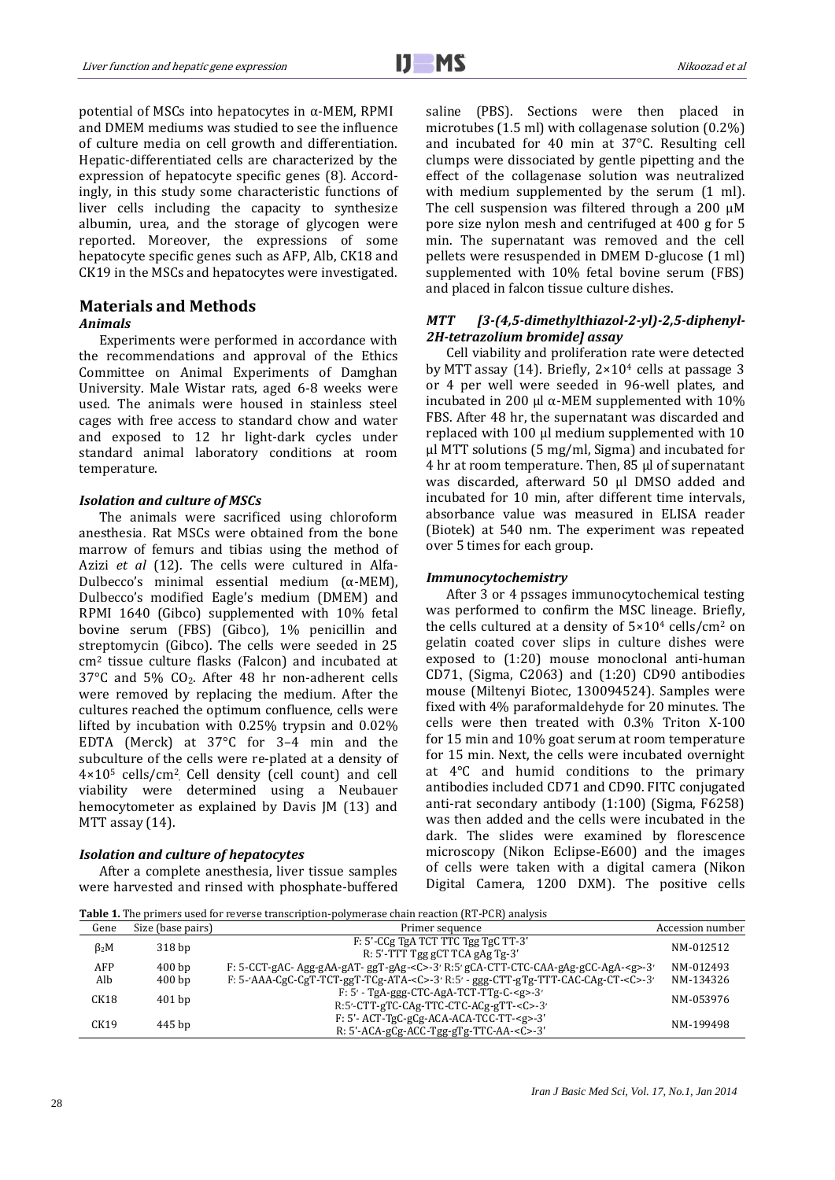potential of MSCs into hepatocytes in α-MEM, RPMI and DMEM mediums was studied to see the influence of culture media on cell growth and differentiation. Hepatic-differentiated cells are characterized by the expression of hepatocyte specific genes (8). Accordingly, in this study some characteristic functions of liver cells including the capacity to synthesize albumin, urea, and the storage of glycogen were reported. Moreover, the expressions of some hepatocyte specific genes such as AFP, Alb, CK18 and CK19 in the MSCs and hepatocytes were investigated.

## **Materials and Methods** *Animals*

Experiments were performed in accordance with the recommendations and approval of the Ethics Committee on Animal Experiments of Damghan University. Male Wistar rats, aged 6-8 weeks were used. The animals were housed in stainless steel cages with free access to standard chow and water and exposed to 12 hr light-dark cycles under standard animal laboratory conditions at room temperature.

## *Isolation and culture of MSCs*

The animals were sacrificed using chloroform anesthesia. Rat MSCs were obtained from the bone marrow of femurs and tibias using the method of Azizi *et al* (12). The cells were cultured in Alfa-Dulbecco's minimal essential medium (α-MEM), Dulbecco's modified Eagle's medium (DMEM) and RPMI 1640 (Gibco) supplemented with 10% fetal bovine serum (FBS) (Gibco), 1% penicillin and streptomycin (Gibco). The cells were seeded in 25  $cm<sup>2</sup>$  tissue culture flasks (Falcon) and incubated at 37°C and 5% CO2. After 48 hr non-adherent cells were removed by replacing the medium. After the cultures reached the optimum confluence, cells were lifted by incubation with 0.25% trypsin and 0.02% EDTA (Merck) at 37°C for 3–4 min and the subculture of the cells were re-plated at a density of 4×10<sup>5</sup> cells/cm<sup>2</sup> . Cell density (cell count) and cell viability were determined using a Neubauer hemocytometer as explained by Davis JM (13) and MTT assay (14).

## *Isolation and culture of hepatocytes*

After a complete anesthesia, liver tissue samples were harvested and rinsed with phosphate-buffered saline (PBS). Sections were then placed in microtubes (1.5 ml) with collagenase solution (0.2%) and incubated for 40 min at 37°C. Resulting cell clumps were dissociated by gentle pipetting and the effect of the collagenase solution was neutralized with medium supplemented by the serum  $(1 \text{ ml})$ . The cell suspension was filtered through a 200 μM pore size nylon mesh and centrifuged at 400 g for 5 min. The supernatant was removed and the cell pellets were resuspended in DMEM D-glucose (1 ml) supplemented with 10% fetal bovine serum (FBS) and placed in falcon tissue culture dishes.

# *MTT [3-(4,5-dimethylthiazol-2-yl)-2,5-diphenyl-2H-tetrazolium bromide] assay*

Cell viability and proliferation rate were detected by MTT assay (14). Briefly, 2×10<sup>4</sup> cells at passage 3 or 4 per well were seeded in 96-well plates, and incubated in 200 μl  $\alpha$ -MEM supplemented with 10% FBS. After 48 hr, the supernatant was discarded and replaced with 100 µl medium supplemented with 10 µl MTT solutions (5 mg/ml, Sigma) and incubated for 4 hr at room temperature. Then, 85 µl of supernatant was discarded, afterward 50 µl DMSO added and incubated for 10 min, after different time intervals, absorbance value was measured in ELISA reader (Biotek) at 540 nm. The experiment was repeated over 5 times for each group.

## *Immunocytochemistry*

After 3 or 4 pssages immunocytochemical testing was performed to confirm the MSC lineage. Briefly, the cells cultured at a density of  $5 \times 10^4$  cells/cm<sup>2</sup> on gelatin coated cover slips in culture dishes were exposed to (1:20) mouse monoclonal anti-human CD71, (Sigma, C2063) and (1:20) CD90 antibodies mouse (Miltenyi Biotec, 130094524). Samples were fixed with 4% paraformaldehyde for 20 minutes. The cells were then treated with 0.3% Triton X-100 for 15 min and 10% goat serum at room temperature for 15 min. Next, the cells were incubated overnight at 4°C and humid conditions to the primary antibodies included CD71 and CD90. FITC conjugated anti-rat secondary antibody (1:100) (Sigma, F6258) was then added and the cells were incubated in the dark. The slides were examined by florescence microscopy (Nikon Eclipse-E600) and the images of cells were taken with a digital camera (Nikon Digital Camera, 1200 DXM). The positive cells

**Table 1.** The primers used for reverse transcription-polymerase chain reaction (RT-PCR) analysis

| Gene        | Size (base pairs) | Primer sequence                                                                                 | Accession number |
|-------------|-------------------|-------------------------------------------------------------------------------------------------|------------------|
| $\beta_2$ M | 318 <sub>bp</sub> | F: 5'-CCg TgA TCT TTC Tgg TgC TT-3'<br>R: 5'-TTT Tgg gCT TCA gAg Tg-3'                          | NM-012512        |
| AFP         | 400 <sub>bp</sub> | F: 5-CCT-gAC-Agg-gAA-gAT-ggT-gAg- <c>-3' R:5' gCA-CTT-CTC-CAA-gAg-gCC-AgA-<g>-3'</g></c>        | NM-012493        |
| Alb         | 400 <sub>bp</sub> | F: 5-'AAA-CgC-CgT-TCT-ggT-TCg-ATA- <c>-3' R:5' - ggg-CTT-gTg-TTT-CAC-CAg-CT-<c>-3'</c></c>      | NM-134326        |
| CK18        | $401$ bp          | $F: 5'$ - TgA-ggg-CTC-AgA-TCT-TTg-C- <g>-3'<br/>R:5'-CTT-gTC-CAg-TTC-CTC-ACg-gTT-<c>-3'</c></g> | NM-053976        |
| CK19        | 445 bp            | F: 5'-ACT-TgC-gCg-ACA-ACA-TCC-TT- <g>-3'<br/>R: 5'-ACA-gCg-ACC-Tgg-gTg-TTC-AA-<c>-3'</c></g>    | NM-199498        |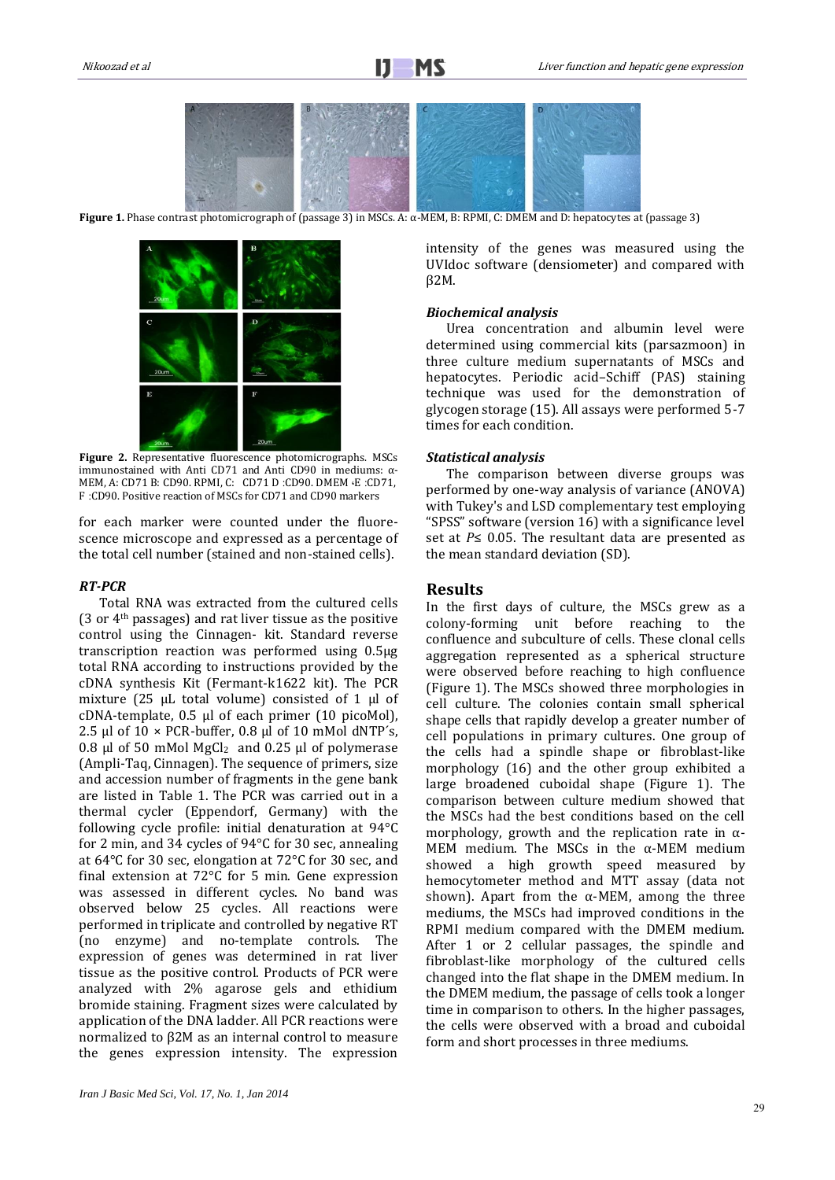

**Figure 1.** Phase contrast photomicrograph of (passage 3) in MSCs. A: α-MEM, B: RPMI, C: DMEM and D: hepatocytes at (passage 3)



**Figure 2.** Representative fluorescence photomicrographs. MSCs immunostained with Anti CD71 and Anti CD90 in mediums: α-MEM, A: CD71 B: CD90. RPMI, C: CD71 D :CD90. DMEM ،E :CD71, F :CD90. Positive reaction of MSCs for CD71 and CD90 markers

for each marker were counted under the fluorescence microscope and expressed as a percentage of the total cell number (stained and non-stained cells).

#### *RT-PCR*

Total RNA was extracted from the cultured cells (3 or 4th passages) and rat liver tissue as the positive control using the Cinnagen- kit. Standard reverse transcription reaction was performed using 0.5µg total RNA according to instructions provided by the cDNA synthesis Kit (Fermant-k1622 kit). The PCR mixture (25 μL total volume) consisted of 1 μl of cDNA-template, 0.5 μl of each primer (10 picoMol), 2.5 μl of 10 × PCR-buffer, 0.8 μl of 10 mMol dNTP´s, 0.8 μl of 50 mMol  $MgCl<sub>2</sub>$  and 0.25 μl of polymerase (Ampli-Taq, Cinnagen). The sequence of primers, size and accession number of fragments in the gene bank are listed in Table 1. The PCR was carried out in a thermal cycler (Eppendorf, Germany) with the following cycle profile: initial denaturation at 94°C for 2 min, and 34 cycles of 94°C for 30 sec, annealing at 64°C for 30 sec, elongation at 72°C for 30 sec, and final extension at 72°C for 5 min. Gene expression was assessed in different cycles. No band was observed below 25 cycles. All reactions were performed in triplicate and controlled by negative RT (no enzyme) and no-template controls. The expression of genes was determined in rat liver tissue as the positive control. Products of PCR were analyzed with 2% agarose gels and ethidium bromide staining. Fragment sizes were calculated by application of the DNA ladder. All PCR reactions were normalized to β2M as an internal control to measure the genes expression intensity. The expression intensity of the genes was measured using the UVIdoc software (densiometer) and compared with β2M.

## *Biochemical analysis*

Urea concentration and albumin level were determined using commercial kits (parsazmoon) in three culture medium supernatants of MSCs and hepatocytes. Periodic acid–Schiff (PAS) staining technique was used for the demonstration of glycogen storage (15). All assays were performed 5-7 times for each condition.

## *Statistical analysis*

The comparison between diverse groups was performed by one-way analysis of variance (ANOVA) with Tukey's and LSD complementary test employing "SPSS" software (version 16) with a significance level set at *P*≤ 0.05. The resultant data are presented as the mean standard deviation (SD).

### **Results**

In the first days of culture, the MSCs grew as a colony-forming unit before reaching to the confluence and subculture of cells. These clonal cells aggregation represented as a spherical structure were observed before reaching to high confluence (Figure 1). The MSCs showed three morphologies in cell culture. The colonies contain small spherical shape cells that rapidly develop a greater number of cell populations in primary cultures. One group of the cells had a spindle shape or fibroblast-like morphology (16) and the other group exhibited a large broadened cuboidal shape (Figure 1). The comparison between culture medium showed that the MSCs had the best conditions based on the cell morphology, growth and the replication rate in  $\alpha$ -MEM medium. The MSCs in the  $\alpha$ -MEM medium showed a high growth speed measured by hemocytometer method and MTT assay (data not shown). Apart from the  $\alpha$ -MEM, among the three mediums, the MSCs had improved conditions in the RPMI medium compared with the DMEM medium. After 1 or 2 cellular passages, the spindle and fibroblast-like morphology of the cultured cells changed into the flat shape in the DMEM medium. In the DMEM medium, the passage of cells took a longer time in comparison to others. In the higher passages, the cells were observed with a broad and cuboidal form and short processes in three mediums.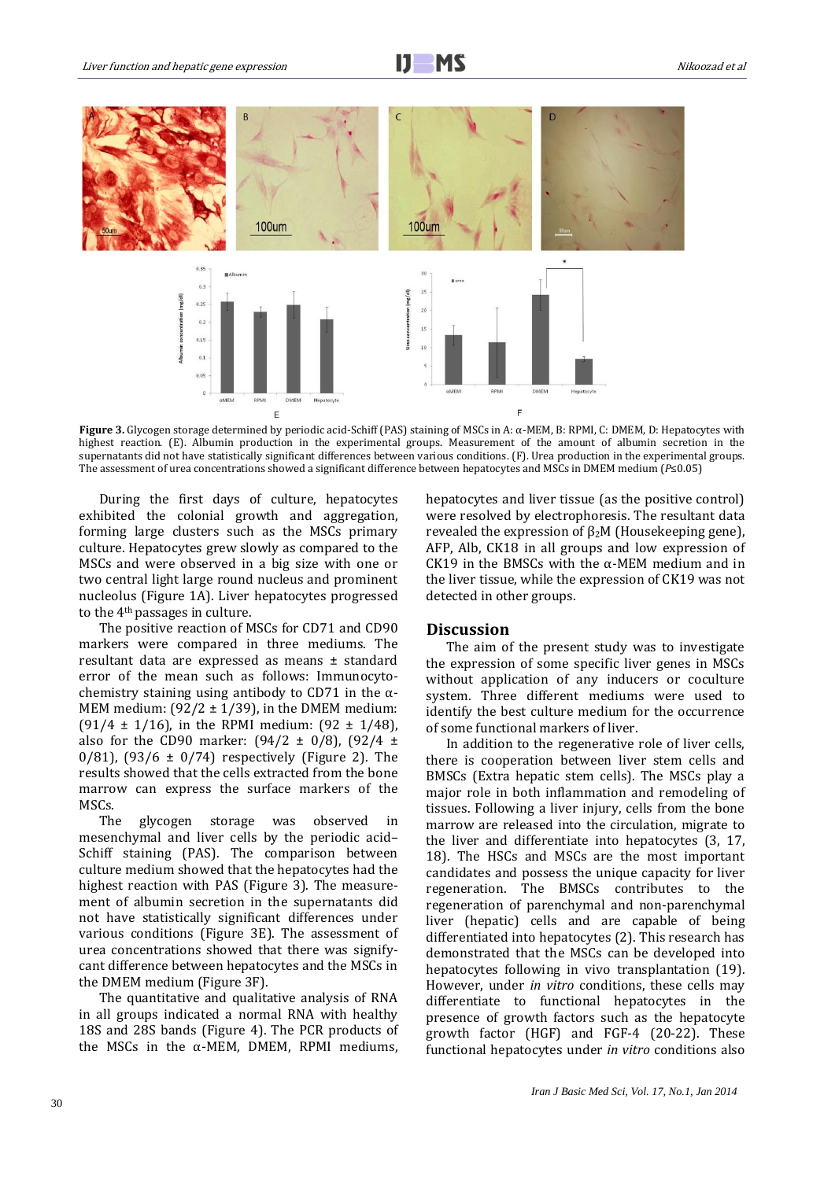

**Figure 3.** Glycogen storage determined by periodic acid-Schiff (PAS) staining of MSCs in A: α-MEM, B: RPMI, C: DMEM, D: Hepatocytes with highest reaction. (E). Albumin production in the experimental groups. Measurement of the amount of albumin secretion in the supernatants did not have statistically significant differences between various conditions. (F). Urea production in the experimental groups. The assessment of urea concentrations showed a significant difference between hepatocytes and MSCs in DMEM medium (*P*≤0.05)

During the first days of culture, hepatocytes exhibited the colonial growth and aggregation, forming large clusters such as the MSCs primary culture. Hepatocytes grew slowly as compared to the MSCs and were observed in a big size with one or two central light large round nucleus and prominent nucleolus (Figure 1A). Liver hepatocytes progressed to the 4th passages in culture.

The positive reaction of MSCs for CD71 and CD90 markers were compared in three mediums. The resultant data are expressed as means ± standard error of the mean such as follows: Immunocytochemistry staining using antibody to CD71 in the  $\alpha$ -MEM medium:  $(92/2 \pm 1/39)$ , in the DMEM medium: (91/4  $\pm$  1/16), in the RPMI medium: (92  $\pm$  1/48), also for the CD90 marker:  $(94/2 \pm 0/8)$ ,  $(92/4 \pm 1)$ 0/81),  $(93/6 \pm 0/74)$  respectively (Figure 2). The results showed that the cells extracted from the bone marrow can express the surface markers of the MSCs.

The glycogen storage was observed in mesenchymal and liver cells by the periodic acid– Schiff staining (PAS). The comparison between culture medium showed that the hepatocytes had the highest reaction with PAS (Figure 3). The measurement of albumin secretion in the supernatants did not have statistically significant differences under various conditions (Figure 3E). The assessment of urea concentrations showed that there was signifycant difference between hepatocytes and the MSCs in the DMEM medium (Figure 3F).

The quantitative and qualitative analysis of RNA in all groups indicated a normal RNA with healthy 18S and 28S bands (Figure 4). The PCR products of the MSCs in the α-MEM, DMEM, RPMI mediums, hepatocytes and liver tissue (as the positive control) were resolved by electrophoresis. The resultant data revealed the expression of  $β<sub>2</sub>M$  (Housekeeping gene), AFP, Alb, CK18 in all groups and low expression of CK19 in the BMSCs with the α-MEM medium and in the liver tissue, while the expression of CK19 was not detected in other groups.

## **Discussion**

The aim of the present study was to investigate the expression of some specific liver genes in MSCs without application of any inducers or coculture system. Three different mediums were used to identify the best culture medium for the occurrence of some functional markers of liver.

In addition to the regenerative role of liver cells, there is cooperation between liver stem cells and BMSCs (Extra hepatic stem cells). The MSCs play a major role in both inflammation and remodeling of tissues. Following a liver injury, cells from the bone marrow are released into the circulation, migrate to the liver and differentiate into hepatocytes (3, 17, 18). The HSCs and MSCs are the most important candidates and possess the unique capacity for liver regeneration. The BMSCs contributes to the regeneration of parenchymal and non-parenchymal liver (hepatic) cells and are capable of being differentiated into hepatocytes (2). This research has demonstrated that the MSCs can be developed into hepatocytes following in vivo transplantation (19). However, under *in vitro* conditions, these cells may differentiate to functional hepatocytes in the presence of growth factors such as the hepatocyte growth factor (HGF) and FGF-4 (20-22). These functional hepatocytes under *in vitro* conditions also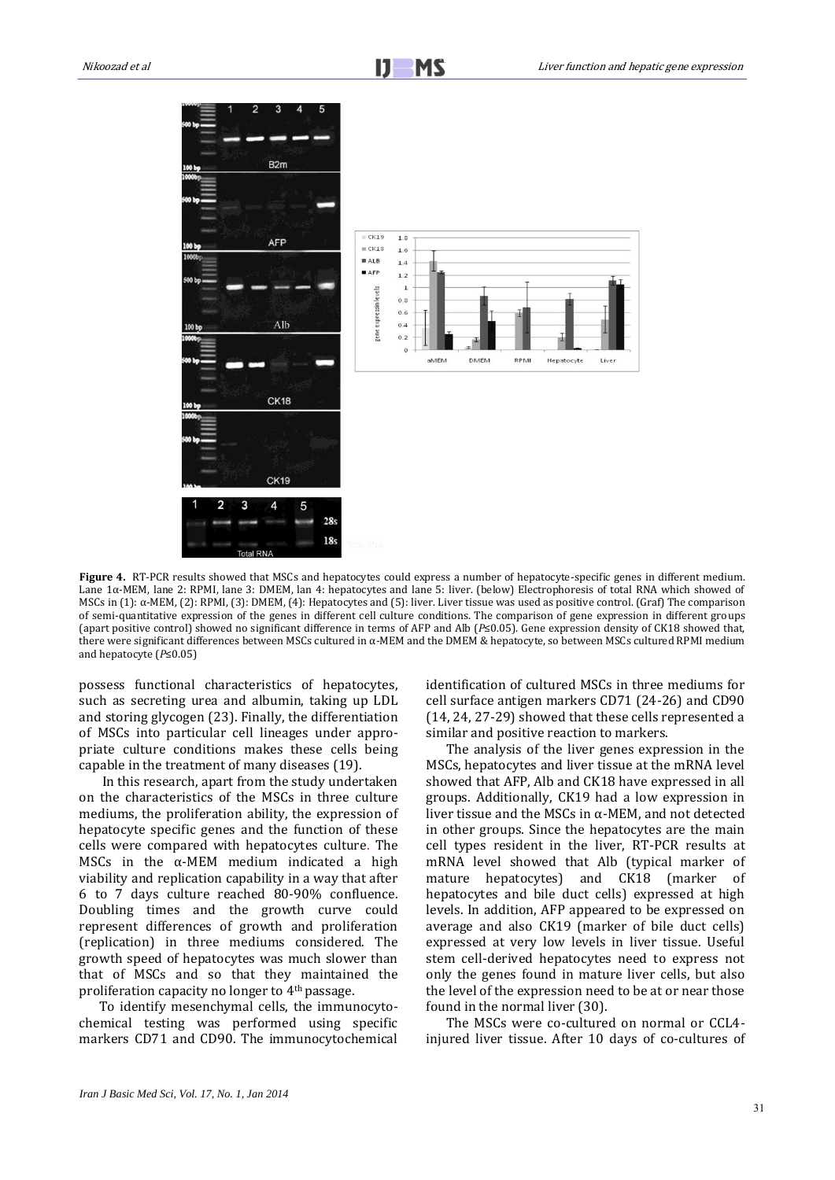

**Figure 4.** RT-PCR results showed that MSCs and hepatocytes could express a number of hepatocyte-specific genes in different medium. Lane 1α-MEM, lane 2: RPMI, lane 3: DMEM, lan 4: hepatocytes and lane 5: liver. (below) Electrophoresis of total RNA which showed of MSCs in (1): α-MEM, (2): RPMI, (3): DMEM, (4): Hepatocytes and (5): liver. Liver tissue was used as positive control. (Graf) The comparison of semi-quantitative expression of the genes in different cell culture conditions. The comparison of gene expression in different groups (apart positive control) showed no significant difference in terms of AFP and Alb (*P*≤0.05). Gene expression density of CK18 showed that, there were significant differences between MSCs cultured in α-MEM and the DMEM & hepatocyte, so between MSCs cultured RPMI medium and hepatocyte (*P*≤0.05)

possess functional characteristics of hepatocytes, such as secreting urea and albumin, taking up LDL and storing glycogen (23). Finally, the differentiation of MSCs into particular cell lineages under appropriate culture conditions makes these cells being capable in the treatment of many diseases (19).

In this research, apart from the study undertaken on the characteristics of the MSCs in three culture mediums, the proliferation ability, the expression of hepatocyte specific genes and the function of these cells were compared with hepatocytes culture. The MSCs in the  $\alpha$ -MEM medium indicated a high viability and replication capability in a way that after 6 to 7 days culture reached 80-90% confluence. Doubling times and the growth curve could represent differences of growth and proliferation (replication) in three mediums considered. The growth speed of hepatocytes was much slower than that of MSCs and so that they maintained the proliferation capacity no longer to 4th passage.

To identify mesenchymal cells, the immunocytochemical testing was performed using specific markers CD71 and CD90. The immunocytochemical

identification of cultured MSCs in three mediums for cell surface antigen markers CD71 (24-26) and CD90 (14, 24, 27-29) showed that these cells represented a similar and positive reaction to markers.

The analysis of the liver genes expression in the MSCs, hepatocytes and liver tissue at the mRNA level showed that AFP, Alb and CK18 have expressed in all groups. Additionally, CK19 had a low expression in liver tissue and the MSCs in α-MEM, and not detected in other groups. Since the hepatocytes are the main cell types resident in the liver, RT-PCR results at mRNA level showed that Alb (typical marker of mature hepatocytes) and CK18 (marker of hepatocytes and bile duct cells) expressed at high levels. In addition, AFP appeared to be expressed on average and also CK19 (marker of bile duct cells) expressed at very low levels in liver tissue. Useful stem cell-derived hepatocytes need to express not only the genes found in mature liver cells, but also the level of the expression need to be at or near those found in the normal liver (30).

The MSCs were co-cultured on normal or CCL4 injured liver tissue. After 10 days of co-cultures of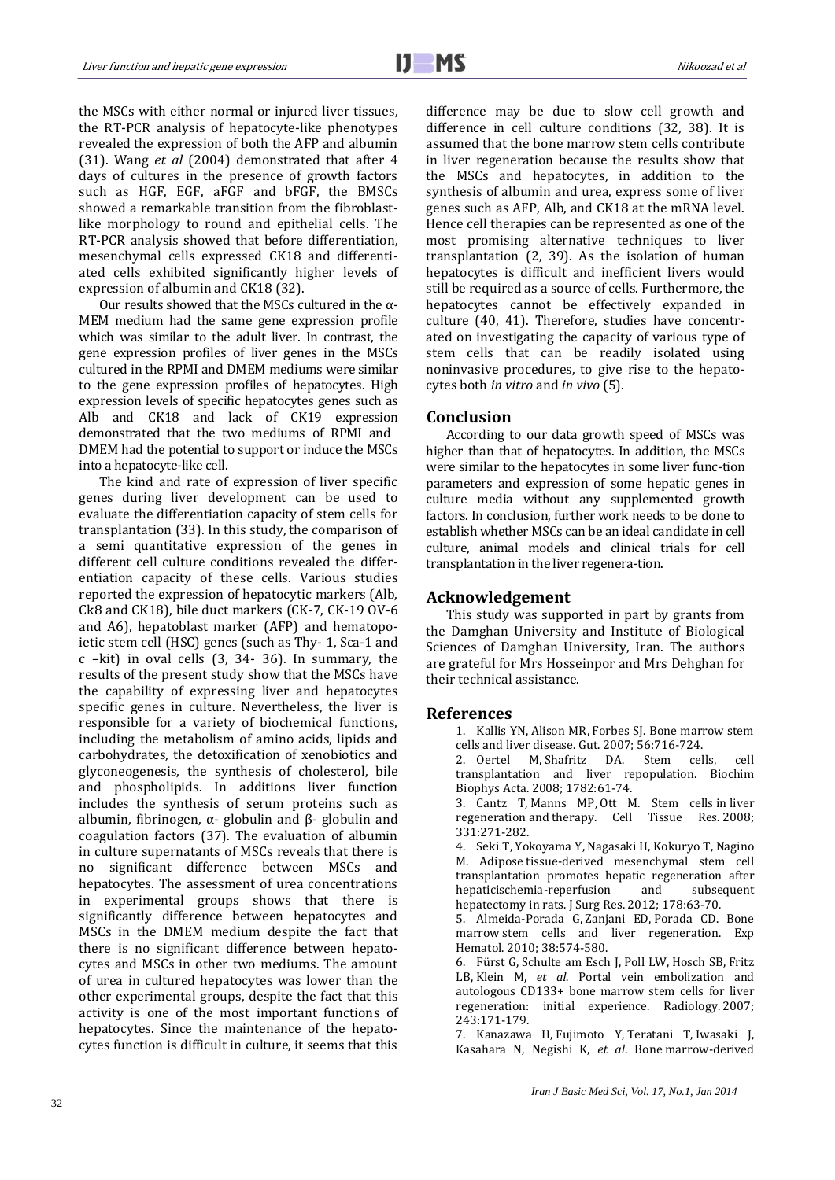the MSCs with either normal or injured liver tissues, the RT-PCR analysis of hepatocyte-like phenotypes revealed the expression of both the AFP and albumin (31). Wang *et al* (2004) demonstrated that after 4 days of cultures in the presence of growth factors such as HGF, EGF, aFGF and bFGF, the BMSCs showed a remarkable transition from the fibroblastlike morphology to round and epithelial cells. The RT-PCR analysis showed that before differentiation, mesenchymal cells expressed CK18 and differentiated cells exhibited significantly higher levels of expression of albumin and CK18 (32).

Our results showed that the MSCs cultured in the  $\alpha$ -MEM medium had the same gene expression profile which was similar to the adult liver. In contrast, the gene expression profiles of liver genes in the MSCs cultured in the RPMI and DMEM mediums were similar to the gene expression profiles of hepatocytes. High expression levels of specific hepatocytes genes such as Alb and CK18 and lack of CK19 expression demonstrated that the two mediums of RPMI and DMEM had the potential to support or induce the MSCs into a hepatocyte-like cell.

The kind and rate of expression of liver specific genes during liver development can be used to evaluate the differentiation capacity of stem cells for transplantation (33). In this study, the comparison of a semi quantitative expression of the genes in different cell culture conditions revealed the differentiation capacity of these cells. Various studies reported the expression of hepatocytic markers (Alb, Ck8 and CK18), bile duct markers (CK-7, CK-19 OV-6 and A6), hepatoblast marker (AFP) and hematopoietic stem cell (HSC) genes (such as Thy- 1, Sca-1 and c –kit) in oval cells (3, 34- 36). In summary, the results of the present study show that the MSCs have the capability of expressing liver and hepatocytes specific genes in culture. Nevertheless, the liver is responsible for a variety of biochemical functions, including the metabolism of amino acids, lipids and carbohydrates, the detoxification of xenobiotics and glyconeogenesis, the synthesis of cholesterol, bile and phospholipids. In additions liver function includes the synthesis of serum proteins such as albumin, fibrinogen, α- globulin and β- globulin and coagulation factors (37). The evaluation of albumin in culture supernatants of MSCs reveals that there is no significant difference between MSCs and hepatocytes. The assessment of urea concentrations in experimental groups shows that there is significantly difference between hepatocytes and MSCs in the DMEM medium despite the fact that there is no significant difference between hepatocytes and MSCs in other two mediums. The amount of urea in cultured hepatocytes was lower than the other experimental groups, despite the fact that this activity is one of the most important functions of hepatocytes. Since the maintenance of the hepatocytes function is difficult in culture, it seems that this

difference may be due to slow cell growth and difference in cell culture conditions (32, 38). It is assumed that the bone marrow stem cells contribute in liver regeneration because the results show that the MSCs and hepatocytes, in addition to the synthesis of albumin and urea, express some of liver genes such as AFP, Alb, and CK18 at the mRNA level. Hence cell therapies can be represented as one of the most promising alternative techniques to liver transplantation (2, 39). As the isolation of human hepatocytes is difficult and inefficient livers would still be required as a source of cells. Furthermore, the hepatocytes cannot be effectively expanded in culture (40, 41). Therefore, studies have concentrated on investigating the capacity of various type of stem cells that can be readily isolated using noninvasive procedures, to give rise to the hepatocytes both *in vitro* and *in vivo* (5).

## **Conclusion**

According to our data growth speed of MSCs was higher than that of hepatocytes. In addition, the MSCs were similar to the hepatocytes in some liver func-tion parameters and expression of some hepatic genes in culture media without any supplemented growth factors. In conclusion, further work needs to be done to establish whether MSCs can be an ideal candidate in cell culture, animal models and clinical trials for cell transplantation in the liver regenera-tion.

## **Acknowledgement**

This study was supported in part by grants from the Damghan University and Institute of Biological Sciences of Damghan University, Iran. The authors are grateful for Mrs Hosseinpor and Mrs Dehghan for their technical assistance.

## **References**

1. [Kallis YN,](http://www.ncbi.nlm.nih.gov/pubmed?term=Kallis%20YN%5BAuthor%5D&cauthor=true&cauthor_uid=17145739) [Alison MR,](http://www.ncbi.nlm.nih.gov/pubmed?term=Alison%20MR%5BAuthor%5D&cauthor=true&cauthor_uid=17145739) [Forbes SJ.](http://www.ncbi.nlm.nih.gov/pubmed?term=Forbes%20SJ%5BAuthor%5D&cauthor=true&cauthor_uid=17145739) Bone marrow stem cells and liver disease[. Gut.](http://www.ncbi.nlm.nih.gov/pubmed/17145739) 2007; 56:716-724.

2. [Oertel M,](http://www.ncbi.nlm.nih.gov/pubmed?term=Oertel%20M%5BAuthor%5D&cauthor=true&cauthor_uid=18187050) [Shafritz DA.](http://www.ncbi.nlm.nih.gov/pubmed?term=Shafritz%20DA%5BAuthor%5D&cauthor=true&cauthor_uid=18187050) Stem cells, cell transplantation and liver repopulation. [Biochim](http://www.ncbi.nlm.nih.gov/pubmed/18187050)  [Biophys Acta.](http://www.ncbi.nlm.nih.gov/pubmed/18187050) 2008; 1782:61-74.

3. [Cantz T,](http://www.ncbi.nlm.nih.gov/pubmed?term=Cantz%20T%5BAuthor%5D&cauthor=true&cauthor_uid=17901986) [Manns MP,](http://www.ncbi.nlm.nih.gov/pubmed?term=Manns%20MP%5BAuthor%5D&cauthor=true&cauthor_uid=17901986) [Ott M.](http://www.ncbi.nlm.nih.gov/pubmed?term=Ott%20M%5BAuthor%5D&cauthor=true&cauthor_uid=17901986) Stem cells in liver regeneration and therapy. [Cell Tissue Res.](http://www.ncbi.nlm.nih.gov/pubmed/17901986) 2008; 331:271-282.

4. [Seki T,](http://www.ncbi.nlm.nih.gov/pubmed?term=Seki%20T%5BAuthor%5D&cauthor=true&cauthor_uid=22482751) [Yokoyama Y,](http://www.ncbi.nlm.nih.gov/pubmed?term=Yokoyama%20Y%5BAuthor%5D&cauthor=true&cauthor_uid=22482751) [Nagasaki H,](http://www.ncbi.nlm.nih.gov/pubmed?term=Nagasaki%20H%5BAuthor%5D&cauthor=true&cauthor_uid=22482751) [Kokuryo T,](http://www.ncbi.nlm.nih.gov/pubmed?term=Kokuryo%20T%5BAuthor%5D&cauthor=true&cauthor_uid=22482751) [Nagino](http://www.ncbi.nlm.nih.gov/pubmed?term=Nagino%20M%5BAuthor%5D&cauthor=true&cauthor_uid=22482751)  [M.](http://www.ncbi.nlm.nih.gov/pubmed?term=Nagino%20M%5BAuthor%5D&cauthor=true&cauthor_uid=22482751) Adipose tissue-derived mesenchymal stem cell transplantation promotes hepatic regeneration after hepaticischemia-reperfusion and subsequent hepatectomy in rats[. J Surg Res.](http://www.ncbi.nlm.nih.gov/pubmed/?term=Adipose+tissue-derived+mesenchymal+stem+cell+transplantation+promotes+hepatic+regeneration+after+hepatic+ischemia-reperfusion+and+subsequent+hepatectomy+in+rats) 2012; 178:63-70.

5. [Almeida-Porada G,](http://www.ncbi.nlm.nih.gov/pubmed?term=Almeida-Porada%20G%5BAuthor%5D&cauthor=true&cauthor_uid=20417684) [Zanjani ED,](http://www.ncbi.nlm.nih.gov/pubmed?term=Zanjani%20ED%5BAuthor%5D&cauthor=true&cauthor_uid=20417684) [Porada CD.](http://www.ncbi.nlm.nih.gov/pubmed?term=Porada%20CD%5BAuthor%5D&cauthor=true&cauthor_uid=20417684) Bone marrow stem cells and liver regeneration. [Exp](http://www.ncbi.nlm.nih.gov/pubmed/20417684)  [Hematol.](http://www.ncbi.nlm.nih.gov/pubmed/20417684) 2010; 38:574-580.

6. [Fürst G,](http://www.ncbi.nlm.nih.gov/pubmed?term=F%C3%BCrst%20G%5BAuthor%5D&cauthor=true&cauthor_uid=17312278) [Schulte am Esch J,](http://www.ncbi.nlm.nih.gov/pubmed?term=Schulte%20am%20Esch%20J%5BAuthor%5D&cauthor=true&cauthor_uid=17312278) [Poll LW,](http://www.ncbi.nlm.nih.gov/pubmed?term=Poll%20LW%5BAuthor%5D&cauthor=true&cauthor_uid=17312278) [Hosch SB,](http://www.ncbi.nlm.nih.gov/pubmed?term=Hosch%20SB%5BAuthor%5D&cauthor=true&cauthor_uid=17312278) [Fritz](http://www.ncbi.nlm.nih.gov/pubmed?term=Fritz%20LB%5BAuthor%5D&cauthor=true&cauthor_uid=17312278)  [LB,](http://www.ncbi.nlm.nih.gov/pubmed?term=Fritz%20LB%5BAuthor%5D&cauthor=true&cauthor_uid=17312278) [Klein M,](http://www.ncbi.nlm.nih.gov/pubmed?term=Klein%20M%5BAuthor%5D&cauthor=true&cauthor_uid=17312278) *et al*. Portal vein embolization and autologous CD133+ bone marrow stem cells for liver regeneration: initial experience. [Radiology.](http://www.ncbi.nlm.nih.gov/pubmed/?term=Portal+vein+embolization+and+autologous+CD133%2B+bone+marrow+stem+cells+for+liver+regeneration%3A+Initial+experience) 2007; 243:171-179.

7. [Kanazawa H,](http://www.ncbi.nlm.nih.gov/pubmed?term=Kanazawa%20H%5BAuthor%5D&cauthor=true&cauthor_uid=21559442) [Fujimoto Y,](http://www.ncbi.nlm.nih.gov/pubmed?term=Fujimoto%20Y%5BAuthor%5D&cauthor=true&cauthor_uid=21559442) [Teratani T,](http://www.ncbi.nlm.nih.gov/pubmed?term=Teratani%20T%5BAuthor%5D&cauthor=true&cauthor_uid=21559442) [Iwasaki J,](http://www.ncbi.nlm.nih.gov/pubmed?term=Iwasaki%20J%5BAuthor%5D&cauthor=true&cauthor_uid=21559442) [Kasahara](http://www.ncbi.nlm.nih.gov/pubmed?term=Kasahara%20N%5BAuthor%5D&cauthor=true&cauthor_uid=21559442) N, [Negishi K,](http://www.ncbi.nlm.nih.gov/pubmed?term=Negishi%20K%5BAuthor%5D&cauthor=true&cauthor_uid=21559442) *et al*. Bone marrow-derived